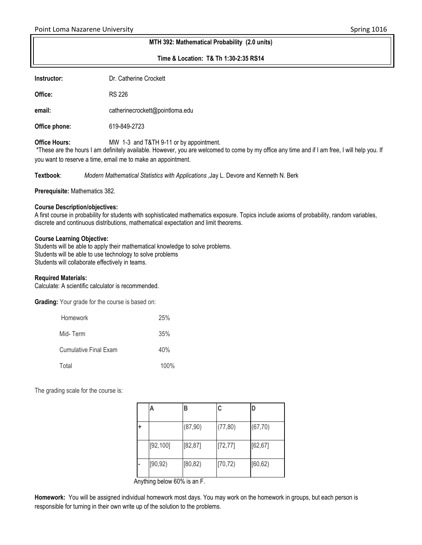#### **MTH 392: Mathematical Probability (2.0 units)**

**Time & Location: T& Th 1:30-2:35 RS14**

**Instructor:** Dr. Catherine Crockett

**Office:** RS 226

**email:** catherinecrockett@pointloma.edu

**Office phone:** 619-849-2723

**Office Hours:** MW 1-3 and T&TH 9-11 or by appointment.

\*These are the hours I am definitely available. However, you are welcomed to come by my office any time and if I am free, I will help you. If you want to reserve a time, email me to make an appointment.

**Textbook**: *Modern Mathematical Statistics with Applications* ,Jay L. Devore and Kenneth N. Berk

**Prerequisite:** Mathematics 382.

### **Course Description/objectives:**

A first course in probability for students with sophisticated mathematics exposure. Topics include axioms of probability, random variables, discrete and continuous distributions, mathematical expectation and limit theorems.

### **Course Learning Objective:**

Students will be able to apply their mathematical knowledge to solve problems. Students will be able to use technology to solve problems Students will collaborate effectively in teams.

### **Required Materials:**

Calculate: A scientific calculator is recommended.

**Grading:** Your grade for the course is based on:

| <b>Homework</b>       | 25%  |
|-----------------------|------|
| Mid-Term              | 35%  |
| Cumulative Final Exam | 40%  |
| Total                 | 100% |

The grading scale for the course is:

|   | Α         | в        | C        |          |
|---|-----------|----------|----------|----------|
| ٠ |           | (87, 90) | (77, 80) | (67, 70) |
|   | [92, 100] | [82, 87] | [72, 77] | [62, 67] |
|   | [90, 92)  | [80, 82) | [70, 72) | [60, 62) |

Anything below 60% is an F.

**Homework:** You will be assigned individual homework most days. You may work on the homework in groups, but each person is responsible for turning in their own write up of the solution to the problems.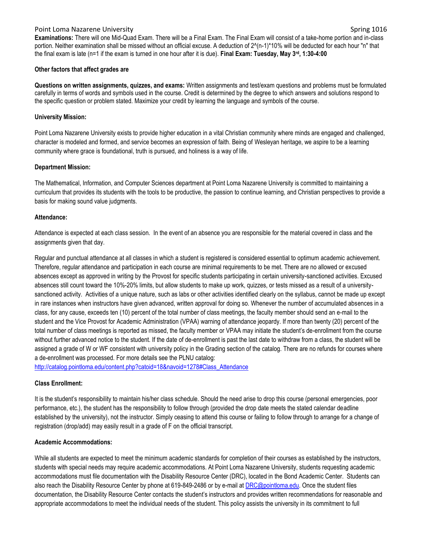### Point Loma Nazarene University Spring 1016

### **Other factors that affect grades are**

**Questions on written assignments, quizzes, and exams:** Written assignments and test/exam questions and problems must be formulated carefully in terms of words and symbols used in the course. Credit is determined by the degree to which answers and solutions respond to the specific question or problem stated. Maximize your credit by learning the language and symbols of the course.

## **University Mission:**

Point Loma Nazarene University exists to provide higher education in a vital Christian community where minds are engaged and challenged, character is modeled and formed, and service becomes an expression of faith. Being of Wesleyan heritage, we aspire to be a learning community where grace is foundational, truth is pursued, and holiness is a way of life.

## **Department Mission:**

The Mathematical, Information, and Computer Sciences department at Point Loma Nazarene University is committed to maintaining a curriculum that provides its students with the tools to be productive, the passion to continue learning, and Christian perspectives to provide a basis for making sound value judgments.

### **Attendance:**

Attendance is expected at each class session. In the event of an absence you are responsible for the material covered in class and the assignments given that day.

Regular and punctual attendance at all classes in which a student is registered is considered essential to optimum academic achievement. Therefore, regular attendance and participation in each course are minimal requirements to be met. There are no allowed or excused absences except as approved in writing by the Provost for specific students participating in certain university-sanctioned activities. Excused absences still count toward the 10%-20% limits, but allow students to make up work, quizzes, or tests missed as a result of a universitysanctioned activity. Activities of a unique nature, such as labs or other activities identified clearly on the syllabus, cannot be made up except in rare instances when instructors have given advanced, written approval for doing so. Whenever the number of accumulated absences in a class, for any cause, exceeds ten (10) percent of the total number of class meetings, the faculty member should send an e-mail to the student and the Vice Provost for Academic Administration (VPAA) warning of attendance jeopardy. If more than twenty (20) percent of the total number of class meetings is reported as missed, the faculty member or VPAA may initiate the student's de-enrollment from the course without further advanced notice to the student. If the date of de-enrollment is past the last date to withdraw from a class, the student will be assigned a grade of W or WF consistent with university policy in the Grading section of the catalog. There are no refunds for courses where a de-enrollment was processed. For more details see the PLNU catalog:

[http://catalog.pointloma.edu/content.php?catoid=18&navoid=1278#Class\\_Attendance](http://catalog.pointloma.edu/content.php?catoid=18&navoid=1278#Class_Attendance)

## **Class Enrollment:**

It is the student's responsibility to maintain his/her class schedule. Should the need arise to drop this course (personal emergencies, poor performance, etc.), the student has the responsibility to follow through (provided the drop date meets the stated calendar deadline established by the university), not the instructor. Simply ceasing to attend this course or failing to follow through to arrange for a change of registration (drop/add) may easily result in a grade of F on the official transcript.

## **Academic Accommodations:**

While all students are expected to meet the minimum academic standards for completion of their courses as established by the instructors, students with special needs may require academic accommodations. At Point Loma Nazarene University, students requesting academic accommodations must file documentation with the Disability Resource Center (DRC), located in the Bond Academic Center. Students can also reach the Disability Resource Center by phone at 619-849-2486 or by e-mail a[t DRC@pointloma.edu.](mailto:DRC@pointloma.edu) Once the student files documentation, the Disability Resource Center contacts the student's instructors and provides written recommendations for reasonable and appropriate accommodations to meet the individual needs of the student. This policy assists the university in its commitment to full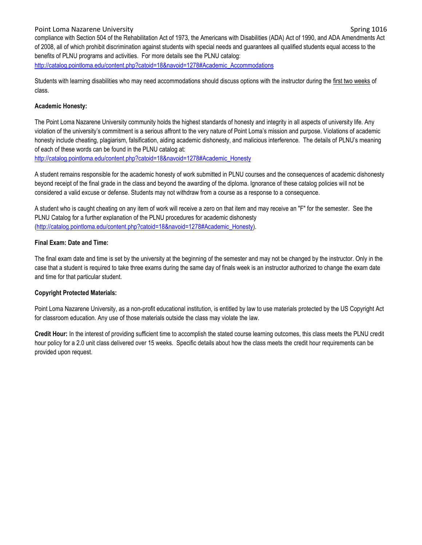Point Loma Nazarene University Spring 1016 compliance with Section 504 of the Rehabilitation Act of 1973, the Americans with Disabilities (ADA) Act of 1990, and ADA Amendments Act of 2008, all of which prohibit discrimination against students with special needs and guarantees all qualified students equal access to the benefits of PLNU programs and activities. For more details see the PLNU catalog: [http://catalog.pointloma.edu/content.php?catoid=18&navoid=1278#Academic\\_Accommodations](http://catalog.pointloma.edu/content.php?catoid=18&navoid=1278#Academic_Accommodations) 

Students with learning disabilities who may need accommodations should discuss options with the instructor during the first two weeks of class.

## **Academic Honesty:**

The Point Loma Nazarene University community holds the highest standards of honesty and integrity in all aspects of university life. Any violation of the university's commitment is a serious affront to the very nature of Point Loma's mission and purpose. Violations of academic honesty include cheating, plagiarism, falsification, aiding academic dishonesty, and malicious interference. The details of PLNU's meaning of each of these words can be found in the PLNU catalog at:

[http://catalog.pointloma.edu/content.php?catoid=18&navoid=1278#Academic\\_Honesty](http://catalog.pointloma.edu/content.php?catoid=18&navoid=1278#Academic_Honesty)

A student remains responsible for the academic honesty of work submitted in PLNU courses and the consequences of academic dishonesty beyond receipt of the final grade in the class and beyond the awarding of the diploma. Ignorance of these catalog policies will not be considered a valid excuse or defense. Students may not withdraw from a course as a response to a consequence.

A student who is caught cheating on any item of work will receive a zero on that item and may receive an "F" for the semester. See the PLNU Catalog for a further explanation of the PLNU procedures for academic dishonesty [\(http://catalog.pointloma.edu/content.php?catoid=18&navoid=1278#Academic\\_Honesty\)](http://catalog.pointloma.edu/content.php?catoid=18&navoid=1278#Academic_Honesty).

## **Final Exam: Date and Time:**

The final exam date and time is set by the university at the beginning of the semester and may not be changed by the instructor. Only in the case that a student is required to take three exams during the same day of finals week is an instructor authorized to change the exam date and time for that particular student.

## **Copyright Protected Materials:**

Point Loma Nazarene University, as a non-profit educational institution, is entitled by law to use materials protected by the US Copyright Act for classroom education. Any use of those materials outside the class may violate the law.

**Credit Hour:** In the interest of providing sufficient time to accomplish the stated course learning outcomes, this class meets the PLNU credit hour policy for a 2.0 unit class delivered over 15 weeks. Specific details about how the class meets the credit hour requirements can be provided upon request.